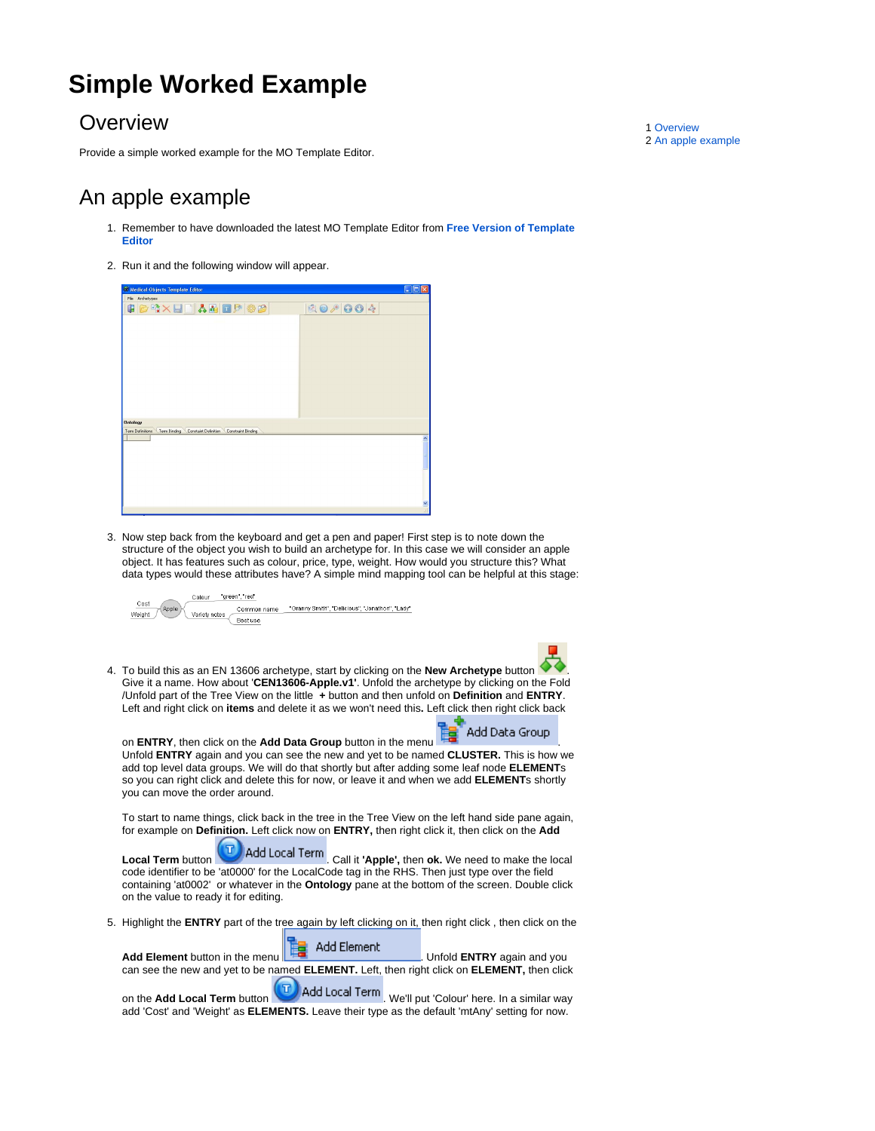## **Simple Worked Example**

## <span id="page-0-0"></span>**Overview**

Provide a simple worked example for the MO Template Editor.

## <span id="page-0-1"></span>An apple example

- 1. Remember to have downloaded the latest MO Template Editor from **[Free Version of Template](http://download.medical-objects.com.au/Template-Setup.exe)  [Editor](http://download.medical-objects.com.au/Template-Setup.exe)**
- 2. Run it and the following window will appear.

| <sup>66</sup> Medical-Objects Template Editor                            | sa                                                                                                         |
|--------------------------------------------------------------------------|------------------------------------------------------------------------------------------------------------|
| File Archetypes                                                          |                                                                                                            |
| <b>CORXEDADD #8</b>                                                      | $\begin{array}{c c c c} \hline \mathbf{0} & \mathbf{0} & \mathbf{0} & \mathbf{0} & \mathbf{0} \end{array}$ |
|                                                                          |                                                                                                            |
|                                                                          |                                                                                                            |
|                                                                          |                                                                                                            |
|                                                                          |                                                                                                            |
|                                                                          |                                                                                                            |
|                                                                          |                                                                                                            |
|                                                                          |                                                                                                            |
|                                                                          |                                                                                                            |
|                                                                          |                                                                                                            |
| <b>Ontology</b>                                                          |                                                                                                            |
| Term Definitions<br>Term Binding Constaint Definition Constraint Binding |                                                                                                            |
|                                                                          |                                                                                                            |
|                                                                          |                                                                                                            |
|                                                                          |                                                                                                            |
|                                                                          |                                                                                                            |
|                                                                          |                                                                                                            |
|                                                                          | ×                                                                                                          |
|                                                                          | A.                                                                                                         |

3. Now step back from the keyboard and get a pen and paper! First step is to note down the structure of the object you wish to build an archetype for. In this case we will consider an apple object. It has features such as colour, price, type, weight. How would you structure this? What data types would these attributes have? A simple mind mapping tool can be helpful at this stage:



4. To build this as an EN 13606 archetype, start by clicking on the **New Archetype** button . Give it a name. How about '**CEN13606-Apple.v1'**. Unfold the archetype by clicking on the Fold /Unfold part of the Tree View on the little **+** button and then unfold on **Definition** and **ENTRY**. Left and right click on **items** and delete it as we won't need this**.** Left click then right click back

on **ENTRY**, then click on the **Add Data Group** button in the menu . Unfold **ENTRY** again and you can see the new and yet to be named **CLUSTER.** This is how we add top level data groups. We will do that shortly but after adding some leaf node **ELEMENT**s so you can right click and delete this for now, or leave it and when we add **ELEMENT**s shortly you can move the order around.

To start to name things, click back in the tree in the Tree View on the left hand side pane again, for example on **Definition.** Left click now on **ENTRY,** then right click it, then click on the **Add** 

**Local Term** button **T** Add Local Term Call it **'Apple',** then **ok.** We need to make the local code identifier to be 'at0000' for the LocalCode tag in the RHS. Then just type over the field containing 'at0002' or whatever in the **Ontology** pane at the bottom of the screen. Double click on the value to ready it for editing.

5. Highlight the **ENTRY** part of the tree again by left clicking on it, then right click , then click on the

**Add Element** button in the menu **Fig.** Add Element Unfold **ENTRY** again and you can see the new and yet to be named **ELEMENT.** Left, then right click on **ELEMENT,** then click

on the Add Local Term button **UD** Add Local Term We'll put 'Colour' here. In a similar way т add 'Cost' and 'Weight' as **ELEMENTS.** Leave their type as the default 'mtAny' setting for now.

1 [Overview](#page-0-0) 2 [An apple example](#page-0-1)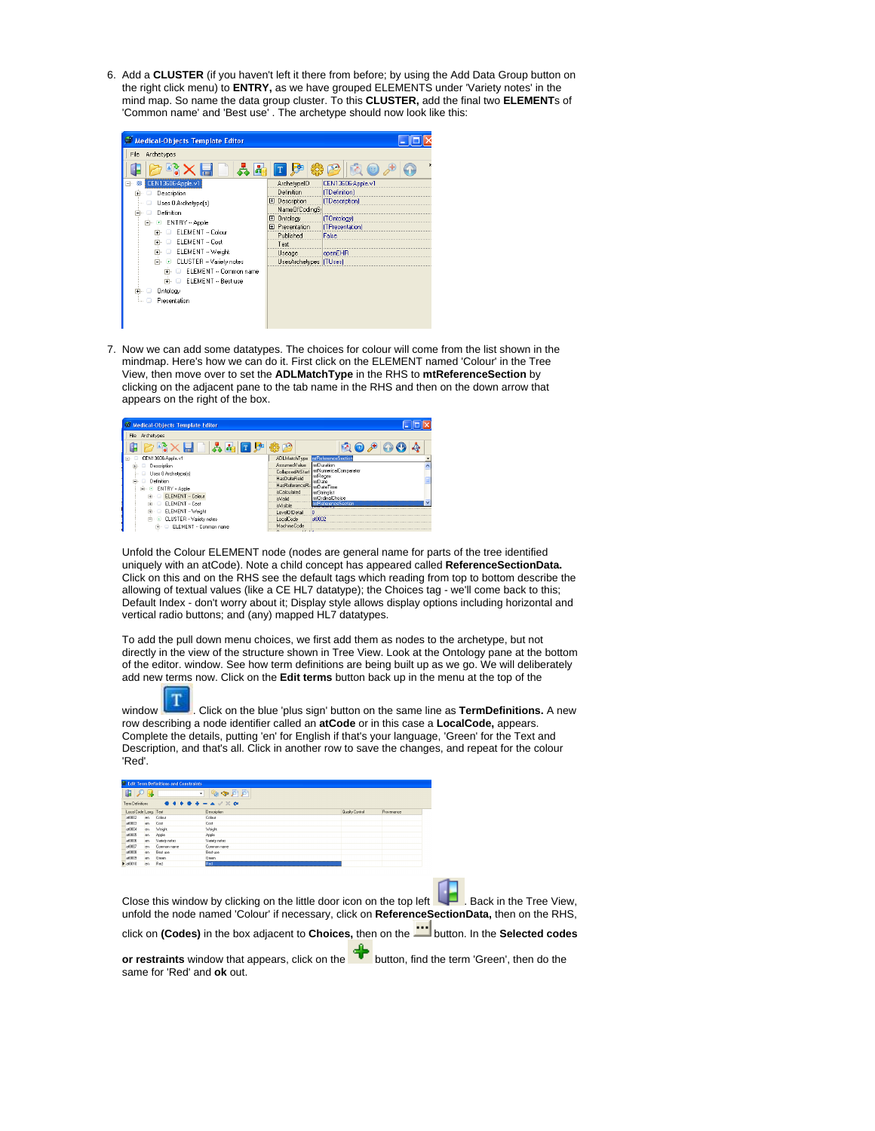6. Add a **CLUSTER** (if you haven't left it there from before; by using the Add Data Group button on the right click menu) to **ENTRY,** as we have grouped ELEMENTS under 'Variety notes' in the mind map. So name the data group cluster. To this **CLUSTER,** add the final two **ELEMENT**s of 'Common name' and 'Best use' . The archetype should now look like this:

| Medical-Objects Template Editor                      |                        |                   |
|------------------------------------------------------|------------------------|-------------------|
| Archetypes<br>File                                   |                        |                   |
|                                                      |                        |                   |
| CEN13606-Apple.v1<br>Fŀ                              | ArchetypelD            | CEN13606-Apple.v1 |
| Description<br>$+$<br>o                              | Definition             | (TDefinition)     |
| Uses 0 Archetype(s)                                  | El Description         | (TDescription)    |
| Definition<br>⊟                                      | NameOfCodingS          |                   |
| ENTRY - Apple<br>$\left  \cdot \right $              | Ontology<br>田          | (TOntology)       |
| ELEMENT -- Colour                                    | <b>田</b> Presentation  | (TPresentation)   |
|                                                      | Published              | False             |
| ELEMENT -- Cost<br>▫                                 | Text                   |                   |
| ELEMENT -- Weight<br>▫                               | Useage                 | openEHR           |
| CLUSTER -- Variety notes<br>$\overline{\phantom{a}}$ | UsesArchetypes [TUses] |                   |
| ELEMENT -- Common name<br>中…<br>Ω                    |                        |                   |
| ELEMENT -- Best use<br>F.<br>o                       |                        |                   |
| Ontology<br>Ĥ.                                       |                        |                   |
| Presentation                                         |                        |                   |
|                                                      |                        |                   |
|                                                      |                        |                   |
|                                                      |                        |                   |

7. Now we can add some datatypes. The choices for colour will come from the list shown in the mindmap. Here's how we can do it. First click on the ELEMENT named 'Colour' in the Tree View, then move over to set the **ADLMatchType** in the RHS to **mtReferenceSection** by clicking on the adjacent pane to the tab name in the RHS and then on the down arrow that appears on the right of the box.

| Medical-Objects Template Editor |                                                        |  |
|---------------------------------|--------------------------------------------------------|--|
| File<br>Archetypes              |                                                        |  |
|                                 |                                                        |  |
| CEN13606-Apple.v1               | ADLMatchType ntReferenceSection                        |  |
| Description                     | mtDuration<br>AssumedValue                             |  |
| Uses 0 Archetype(s)             | IntNumericalComparator<br>CollapsedAtStart<br>IntRegex |  |
| Definition<br>o                 | HasDateField<br>mtDate                                 |  |
| G)<br>E ENTRY - Apple           | HasReferenceRa<br>mtDateTime                           |  |
| ELEMENT - Colour<br>$\Box$      | isCalculated<br>mtStringlist                           |  |
|                                 | mtOrdinalChoice<br>isValid                             |  |
| ELEMENT -- Cost<br>$\Box$       | mtReferenceSection<br><i>icl/reible</i>                |  |
| ELEMENT - Weight<br>中.<br>۰     | LevelOfDetail                                          |  |
| d- E CLUSTER - Variety notes    | LocalCode<br>at0002                                    |  |
| ELEMENT - Common name           | MachineCode                                            |  |
|                                 |                                                        |  |

Unfold the Colour ELEMENT node (nodes are general name for parts of the tree identified uniquely with an atCode). Note a child concept has appeared called **ReferenceSectionData.** Click on this and on the RHS see the default tags which reading from top to bottom describe the allowing of textual values (like a CE HL7 datatype); the Choices tag - we'll come back to this; Default Index - don't worry about it; Display style allows display options including horizontal and vertical radio buttons; and (any) mapped HL7 datatypes.

To add the pull down menu choices, we first add them as nodes to the archetype, but not directly in the view of the structure shown in Tree View. Look at the Ontology pane at the bottom of the editor. window. See how term definitions are being built up as we go. We will deliberately add new terms now. Click on the **Edit terms** button back up in the menu at the top of the



window . Click on the blue 'plus sign' button on the same line as **TermDefinitions.** A new row describing a node identifier called an **atCode** or in this case a **LocalCode,** appears. Complete the details, putting 'en' for English if that's your language, 'Green' for the Text and Description, and that's all. Click in another row to save the changes, and repeat for the colour 'Red'.

| 中の目<br>Tem Definitions |     |               | $\circledcirc \circledcirc \circledcirc$<br>٠<br>$\bullet \bullet \bullet \bullet \bullet \bullet = \bullet \lor \times \bullet$ |                        |            |
|------------------------|-----|---------------|----------------------------------------------------------------------------------------------------------------------------------|------------------------|------------|
| Local Code Lang Test   |     |               | Description                                                                                                                      | <b>Quality Control</b> | Provenance |
| #0002                  | en. | Colour        | Colour                                                                                                                           |                        |            |
| a/0003                 | en. | Cost          | Cost                                                                                                                             |                        |            |
| a/3004                 | en. | Weight.       | Weight                                                                                                                           |                        |            |
| 80006                  | en. | Apple         | Apple                                                                                                                            |                        |            |
| 60006                  | en. | Variety notes | Variety notes                                                                                                                    |                        |            |
| #0007                  | en. | Common name   | Common name                                                                                                                      |                        |            |
| a/0008                 | en. | Bestuse       | Best use                                                                                                                         |                        |            |
| 40009                  | en. | Green         | Green                                                                                                                            |                        |            |
| $b$ at 0010            | en. | Red           | Red                                                                                                                              |                        |            |

Close this window by clicking on the little door icon on the top left  $\Box$ . Back in the Tree View, unfold the node named 'Colour' if necessary, click on **ReferenceSectionData,** then on the RHS,

click on (Codes) in the box adjacent to Choices, then on the **Button.** In the Selected codes

**or restraints** window that appears, click on the **T** button, find the term 'Green', then do the same for 'Red' and **ok** out.